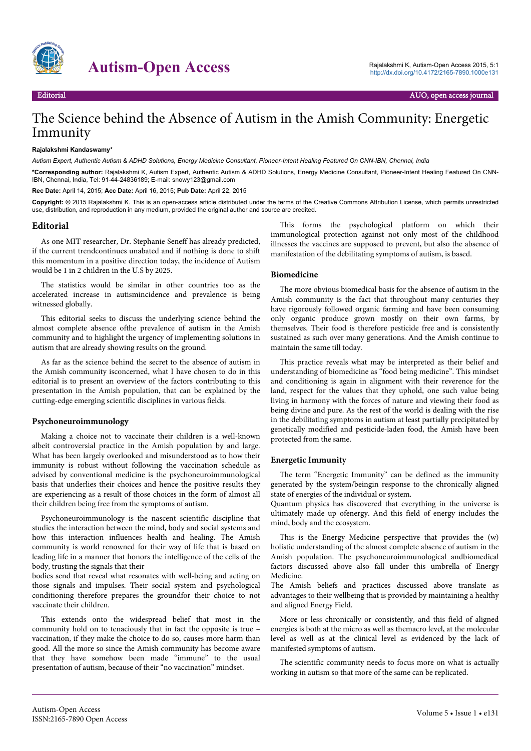

# Autism-Open Access<br>
Autism-Open Access 2015, 5:1<br>
Rajalakshmi K, Autism-Open Access 2015, 5:1<br>
http://dx.doi.org/10.4172/2165-7890.1000e131

## The Science behind the Absence of Autism in the Amish Community: Energetic Immunity

#### **Rajalakshmi Kandaswamy\***

*Autism Expert, Authentic Autism & ADHD Solutions, Energy Medicine Consultant, Pioneer-Intent Healing Featured On CNN-IBN, Chennai, India*

**\*Corresponding author:** Rajalakshmi K, Autism Expert, Authentic Autism & ADHD Solutions, Energy Medicine Consultant, Pioneer-Intent Healing Featured On CNN-IBN, Chennai, India, Tel: 91-44-24836189; E-mail: snowy123@gmail.com

**Rec Date:** April 14, 2015; **Acc Date:** April 16, 2015; **Pub Date:** April 22, 2015

**Copyright: ©** 2015 Rajalakshmi K. This is an open-access article distributed under the terms of the Creative Commons Attribution License, which permits unrestricted use, distribution, and reproduction in any medium, provided the original author and source are credited.

#### **Editorial**

As one MIT researcher, Dr. Stephanie Seneff has already predicted, if the current trendcontinues unabated and if nothing is done to shift this momentum in a positive direction today, the incidence of Autism would be 1 in 2 children in the U.S by 2025.

The statistics would be similar in other countries too as the accelerated increase in autismincidence and prevalence is being witnessed globally.

This editorial seeks to discuss the underlying science behind the almost complete absence ofthe prevalence of autism in the Amish community and to highlight the urgency of implementing solutions in autism that are already showing results on the ground.

As far as the science behind the secret to the absence of autism in the Amish community isconcerned, what I have chosen to do in this editorial is to present an overview of the factors contributing to this presentation in the Amish population, that can be explained by the cutting-edge emerging scientific disciplines in various fields.

#### **Psychoneuroimmunology**

Making a choice not to vaccinate their children is a well-known albeit controversial practice in the Amish population by and large. What has been largely overlooked and misunderstood as to how their immunity is robust without following the vaccination schedule as advised by conventional medicine is the psychoneuroimmunological basis that underlies their choices and hence the positive results they are experiencing as a result of those choices in the form of almost all their children being free from the symptoms of autism.

Psychoneuroimmunology is the nascent scientific discipline that studies the interaction between the mind, body and social systems and how this interaction influences health and healing. The Amish community is world renowned for their way of life that is based on leading life in a manner that honors the intelligence of the cells of the body, trusting the signals that their

bodies send that reveal what resonates with well-being and acting on those signals and impulses. Their social system and psychological conditioning therefore prepares the groundfor their choice to not vaccinate their children.

This extends onto the widespread belief that most in the community hold on to tenaciously that in fact the opposite is true – vaccination, if they make the choice to do so, causes more harm than good. All the more so since the Amish community has become aware that they have somehow been made "immune" to the usual presentation of autism, because of their "no vaccination" mindset.

This forms the psychological platform on which their immunological protection against not only most of the childhood illnesses the vaccines are supposed to prevent, but also the absence of manifestation of the debilitating symptoms of autism, is based.

#### **Biomedicine**

The more obvious biomedical basis for the absence of autism in the Amish community is the fact that throughout many centuries they have rigorously followed organic farming and have been consuming only organic produce grown mostly on their own farms, by themselves. Their food is therefore pesticide free and is consistently sustained as such over many generations. And the Amish continue to maintain the same till today.

This practice reveals what may be interpreted as their belief and understanding of biomedicine as "food being medicine". This mindset and conditioning is again in alignment with their reverence for the land, respect for the values that they uphold, one such value being living in harmony with the forces of nature and viewing their food as being divine and pure. As the rest of the world is dealing with the rise in the debilitating symptoms in autism at least partially precipitated by genetically modified and pesticide-laden food, the Amish have been protected from the same.

#### **Energetic Immunity**

The term "Energetic Immunity" can be defined as the immunity generated by the system/beingin response to the chronically aligned state of energies of the individual or system.

Quantum physics has discovered that everything in the universe is ultimately made up ofenergy. And this field of energy includes the mind, body and the ecosystem.

This is the Energy Medicine perspective that provides the (w) holistic understanding of the almost complete absence of autism in the Amish population. The psychoneuroimmunological andbiomedical factors discussed above also fall under this umbrella of Energy Medicine.

The Amish beliefs and practices discussed above translate as advantages to their wellbeing that is provided by maintaining a healthy and aligned Energy Field.

More or less chronically or consistently, and this field of aligned energies is both at the micro as well as themacro level, at the molecular level as well as at the clinical level as evidenced by the lack of manifested symptoms of autism.

The scientific community needs to focus more on what is actually working in autism so that more of the same can be replicated.